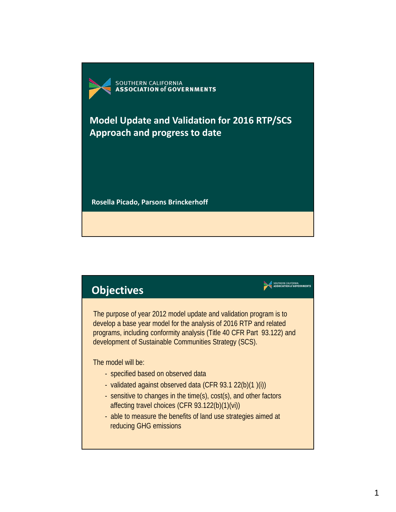

**Model Update and Validation for 2016 RTP/SCS Approach and progress to date**

**Rosella Picado, Parsons Brinckerhoff**

## **Objectives**

The purpose of year 2012 model update and validation program is to develop a base year model for the analysis of 2016 RTP and related programs, including conformity analysis (Title 40 CFR Part 93.122) and development of Sustainable Communities Strategy (SCS).

SOUTHERN CALIFORNIA<br>ASSOCIATION of GOVERNMENTS

The model will be:

- specified based on observed data
- validated against observed data (CFR 93.1 22(b)(1 )(i))
- sensitive to changes in the time(s), cost(s), and other factors affecting travel choices (CFR 93.122(b)(1)(vi))
- able to measure the benefits of land use strategies aimed at reducing GHG emissions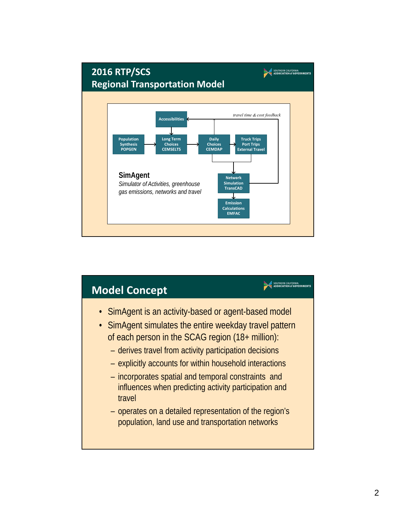

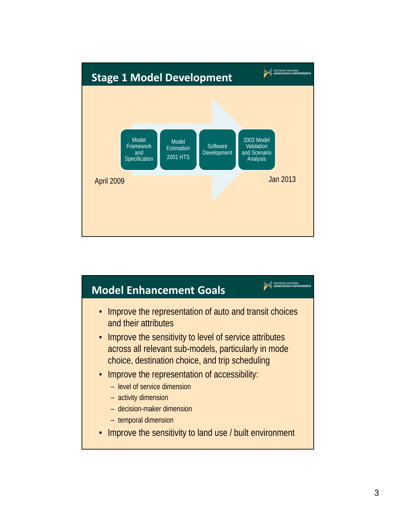

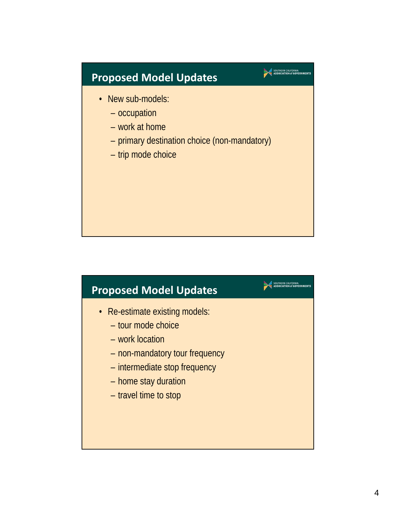## **Proposed Model Updates**

- New sub-models:
	- occupation
	- work at home
	- primary destination choice (non-mandatory)

SOUTHERN CALIFORNIA

SOUTHERN CALIFORNIA

– trip mode choice

## **Proposed Model Updates**

- Re-estimate existing models:
	- tour mode choice
	- work location
	- non-mandatory tour frequency
	- intermediate stop frequency
	- home stay duration
	- travel time to stop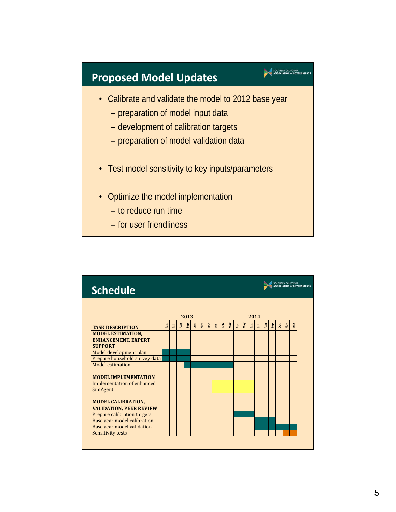## **Proposed Model Updates**

• Calibrate and validate the model to 2012 base year

SOUTHERN CALIFORNIA<br>ASSOCIATION of GOVERNMENTS

- preparation of model input data
- development of calibration targets
- preparation of model validation data
- Test model sensitivity to key inputs/parameters
- Optimize the model implementation
	- to reduce run time
	- for user friendliness

| <b>Schedule</b>                                                          |                  |      |     |                |    |              |      |              |     |     |                                  |     |                           |   |     |                |              |     | SOUTHERN CALIFORNIA<br><b>ASSOCIATION of GOVERNMENTS</b> |
|--------------------------------------------------------------------------|------------------|------|-----|----------------|----|--------------|------|--------------|-----|-----|----------------------------------|-----|---------------------------|---|-----|----------------|--------------|-----|----------------------------------------------------------|
|                                                                          |                  |      |     |                |    |              |      |              |     |     |                                  |     |                           |   |     |                |              |     |                                                          |
|                                                                          |                  | 2013 |     |                |    |              | 2014 |              |     |     |                                  |     |                           |   |     |                |              |     |                                                          |
| <b>TASK DESCRIPTION</b>                                                  | Jun <sub>1</sub> | 且    | Aug | $\mathbf{Sep}$ | ot | $_{\rm Nov}$ | Dec  | $\mathbb{I}$ | Feb | Mar | $\mathbf{A}\mathbf{p}\mathbf{r}$ | May | $\ensuremath{\mathbb{H}}$ | 且 | Aug | $\mathbf{Sep}$ | $\mathbf{C}$ | Nov | Dec                                                      |
| <b>MODEL ESTIMATION.</b><br><b>ENHANCEMENT, EXPERT</b><br><b>SUPPORT</b> |                  |      |     |                |    |              |      |              |     |     |                                  |     |                           |   |     |                |              |     |                                                          |
| Model development plan                                                   |                  |      |     |                |    |              |      |              |     |     |                                  |     |                           |   |     |                |              |     |                                                          |
| Prepare household survey data                                            |                  |      |     |                |    |              |      |              |     |     |                                  |     |                           |   |     |                |              |     |                                                          |
| Model estimation                                                         |                  |      |     |                |    |              |      |              |     |     |                                  |     |                           |   |     |                |              |     |                                                          |
| <b>MODEL IMPLEMENTATION</b>                                              |                  |      |     |                |    |              |      |              |     |     |                                  |     |                           |   |     |                |              |     |                                                          |
| <b>Implementation of enhanced</b><br>SimAgent                            |                  |      |     |                |    |              |      |              |     |     |                                  |     |                           |   |     |                |              |     |                                                          |
|                                                                          |                  |      |     |                |    |              |      |              |     |     |                                  |     |                           |   |     |                |              |     |                                                          |
| <b>MODEL CALIBRATION,</b><br><b>VALIDATION, PEER REVIEW</b>              |                  |      |     |                |    |              |      |              |     |     |                                  |     |                           |   |     |                |              |     |                                                          |
| Prepare calibration targets                                              |                  |      |     |                |    |              |      |              |     |     |                                  |     |                           |   |     |                |              |     |                                                          |
| Base year model calibration                                              |                  |      |     |                |    |              |      |              |     |     |                                  |     |                           |   |     |                |              |     |                                                          |
| Base year model validation                                               |                  |      |     |                |    |              |      |              |     |     |                                  |     |                           |   |     |                |              |     |                                                          |
| Sensitivity tests                                                        |                  |      |     |                |    |              |      |              |     |     |                                  |     |                           |   |     |                |              |     |                                                          |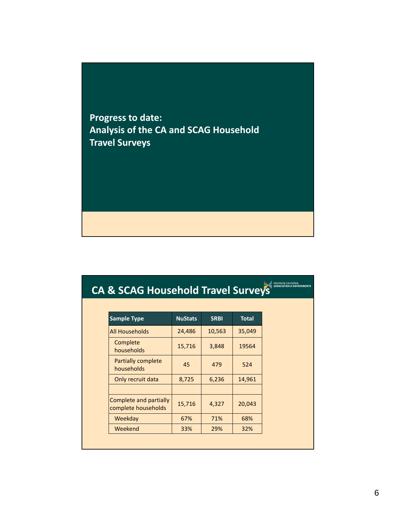**Progress to date: Analysis of the CA and SCAG Household Travel Surveys**

# **CA & SCAG Household Travel Surveys**

| <b>Sample Type</b>                            | <b>NuStats</b> | <b>SRBI</b> | <b>Total</b> |
|-----------------------------------------------|----------------|-------------|--------------|
| All Households                                | 24,486         | 10,563      | 35,049       |
| Complete<br>households                        | 15,716         | 3,848       | 19564        |
| <b>Partially complete</b><br>households       | 45             | 479         | 524          |
| Only recruit data                             | 8,725          | 6,236       | 14,961       |
|                                               |                |             |              |
| Complete and partially<br>complete households | 15,716         | 4,327       | 20,043       |
| Weekday                                       | 67%            | 71%         | 68%          |
| Weekend                                       | 33%            | 29%         | 32%          |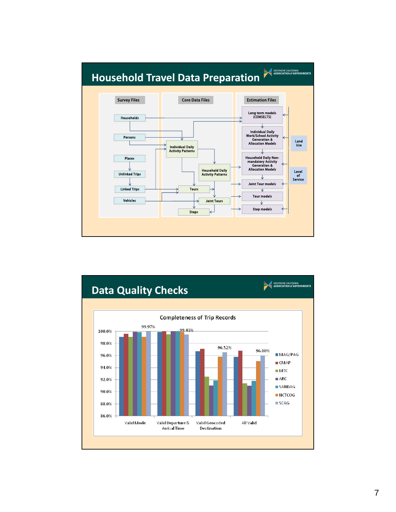

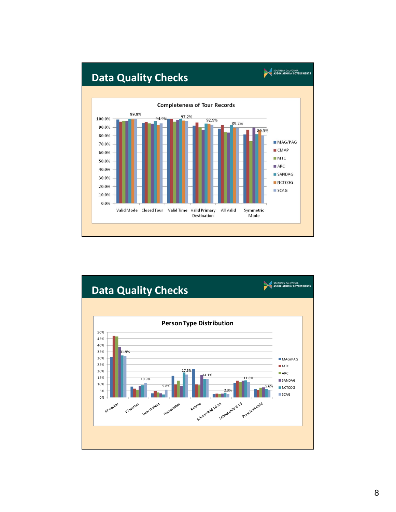

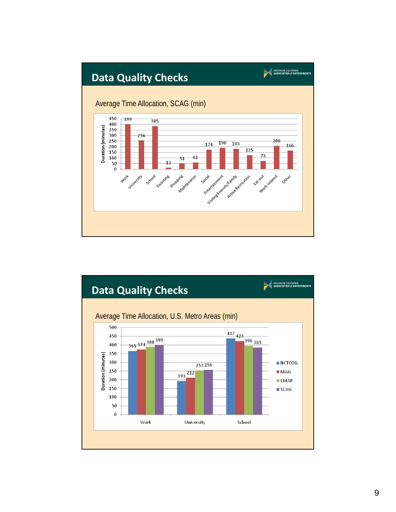

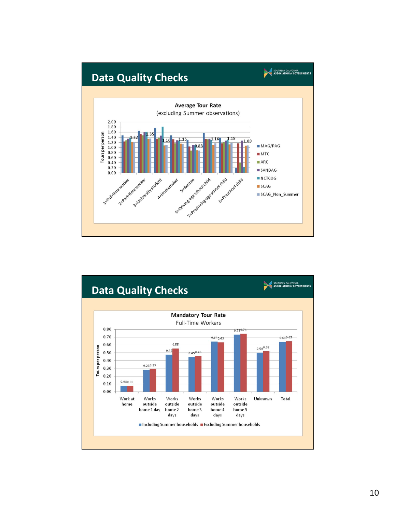